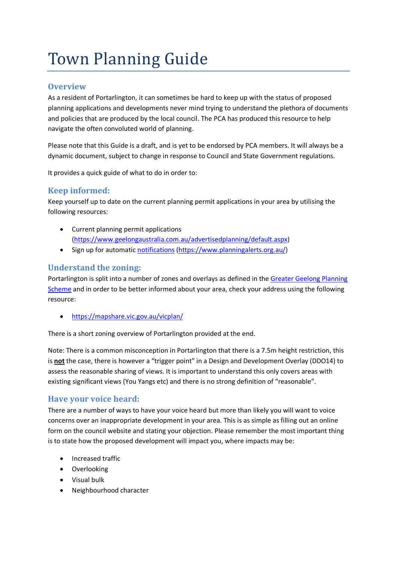# Town Planning Guide

## **Overview**

As a resident of Portarlington, it can sometimes be hard to keep up with the status of proposed planning applications and developments never mind trying to understand the plethora of documents and policies that are produced by the local council. The PCA has produced this resource to help navigate the often convoluted world of planning.

Please note that this Guide is a draft, and is yet to be endorsed by PCA members. It will always be a dynamic document, subject to change in response to Council and State Government regulations.

It provides a quick guide of what to do in order to:

# **Keep informed:**

Keep yourself up to date on the current planning permit applications in your area by utilising the following resources:

- Current planning permit applications (https://www.geelongaustralia.com.au/advertisedplanning/default.aspx)
- Sign up for automatic notifications (https://www.planningalerts.org.au/)

# **Understand the zoning:**

Portarlington is split into a number of zones and overlays as defined in the Greater Geelong Planning Scheme and in order to be better informed about your area, check your address using the following resource:

• https://mapshare.vic.gov.au/vicplan/

There is a short zoning overview of Portarlington provided at the end.

Note: There is a common misconception in Portarlington that there is a 7.5m height restriction, this is **not** the case, there is however a "trigger point" in a Design and Development Overlay (DDO14) to assess the reasonable sharing of views. It is important to understand this only covers areas with existing significant views (You Yangs etc) and there is no strong definition of "reasonable".

# **Have your voice heard:**

There are a number of ways to have your voice heard but more than likely you will want to voice concerns over an inappropriate development in your area. This is as simple as filling out an online form on the council website and stating your objection. Please remember the most important thing is to state how the proposed development will impact you, where impacts may be:

- Increased traffic
- Overlooking
- Visual bulk
- Neighbourhood character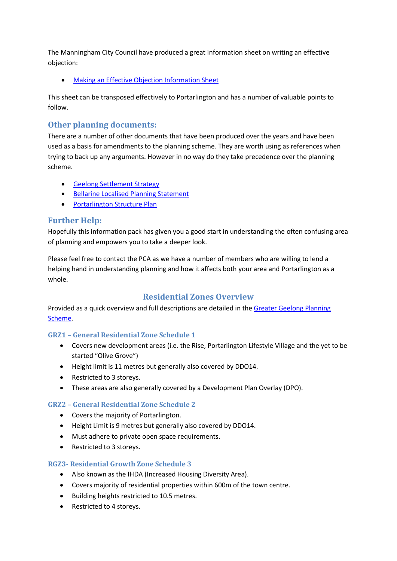The Manningham City Council have produced a great information sheet on writing an effective objection:

**Making an Effective Objection Information Sheet** 

This sheet can be transposed effectively to Portarlington and has a number of valuable points to follow.

# **Other planning documents:**

There are a number of other documents that have been produced over the years and have been used as a basis for amendments to the planning scheme. They are worth using as references when trying to back up any arguments. However in no way do they take precedence over the planning scheme.

- Geelong Settlement Strategy
- Bellarine Localised Planning Statement
- Portarlington Structure Plan

# **Further Help:**

Hopefully this information pack has given you a good start in understanding the often confusing area of planning and empowers you to take a deeper look.

Please feel free to contact the PCA as we have a number of members who are willing to lend a helping hand in understanding planning and how it affects both your area and Portarlington as a whole.

# **Residential Zones Overview**

Provided as a quick overview and full descriptions are detailed in the Greater Geelong Planning Scheme.

#### **GRZ1 – General Residential Zone Schedule 1**

- Covers new development areas (i.e. the Rise, Portarlington Lifestyle Village and the yet to be started "Olive Grove")
- Height limit is 11 metres but generally also covered by DDO14.
- Restricted to 3 storeys.
- These areas are also generally covered by a Development Plan Overlay (DPO).

#### **GRZ2 – General Residential Zone Schedule 2**

- Covers the majority of Portarlington.
- Height Limit is 9 metres but generally also covered by DDO14.
- Must adhere to private open space requirements.
- Restricted to 3 storeys.

#### **RGZ3- Residential Growth Zone Schedule 3**

- Also known as the IHDA (Increased Housing Diversity Area).
- Covers majority of residential properties within 600m of the town centre.
- Building heights restricted to 10.5 metres.
- Restricted to 4 storeys.